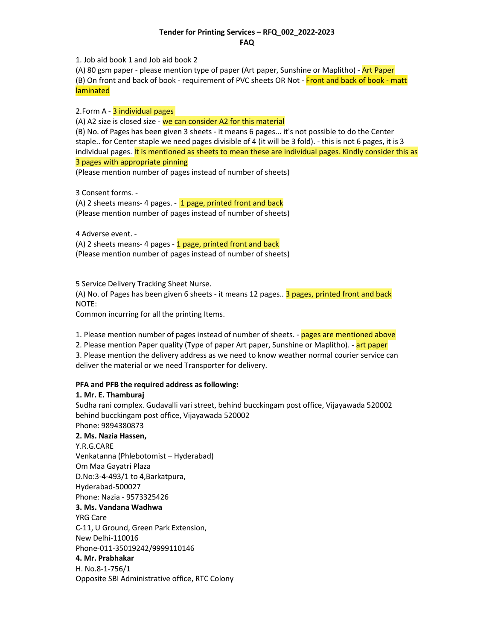## Tender for Printing Services – RFQ\_002\_2022-2023 FAQ

1. Job aid book 1 and Job aid book 2

(A) 80 gsm paper - please mention type of paper (Art paper, Sunshine or Maplitho) - Art Paper (B) On front and back of book - requirement of PVC sheets OR Not - Front and back of book - matt laminated

2.Form A - 3 individual pages

(A) A2 size is closed size - we can consider A2 for this material

(B) No. of Pages has been given 3 sheets - it means 6 pages... it's not possible to do the Center staple.. for Center staple we need pages divisible of 4 (it will be 3 fold). - this is not 6 pages, it is 3 individual pages. It is mentioned as sheets to mean these are individual pages. Kindly consider this as 3 pages with appropriate pinning

(Please mention number of pages instead of number of sheets)

3 Consent forms. -

(A) 2 sheets means- 4 pages.  $-1$  page, printed front and back (Please mention number of pages instead of number of sheets)

4 Adverse event. -

(A) 2 sheets means- 4 pages - 1 page, printed front and back (Please mention number of pages instead of number of sheets)

5 Service Delivery Tracking Sheet Nurse.

(A) No. of Pages has been given 6 sheets - it means 12 pages.. 3 pages, printed front and back NOTE:

Common incurring for all the printing Items.

1. Please mention number of pages instead of number of sheets. - pages are mentioned above

2. Please mention Paper quality (Type of paper Art paper, Sunshine or Maplitho). - art paper

3. Please mention the delivery address as we need to know weather normal courier service can deliver the material or we need Transporter for delivery.

## PFA and PFB the required address as following:

## 1. Mr. E. Thamburaj

Sudha rani complex. Gudavalli vari street, behind bucckingam post office, Vijayawada 520002 behind bucckingam post office, Vijayawada 520002

## Phone: 9894380873 2. Ms. Nazia Hassen,

Y.R.G.CARE Venkatanna (Phlebotomist – Hyderabad) Om Maa Gayatri Plaza D.No:3-4-493/1 to 4,Barkatpura, Hyderabad-500027 Phone: Nazia - 9573325426 3. Ms. Vandana Wadhwa YRG Care C-11, U Ground, Green Park Extension, New Delhi-110016 Phone-011-35019242/9999110146 4. Mr. Prabhakar H. No.8-1-756/1 Opposite SBI Administrative office, RTC Colony